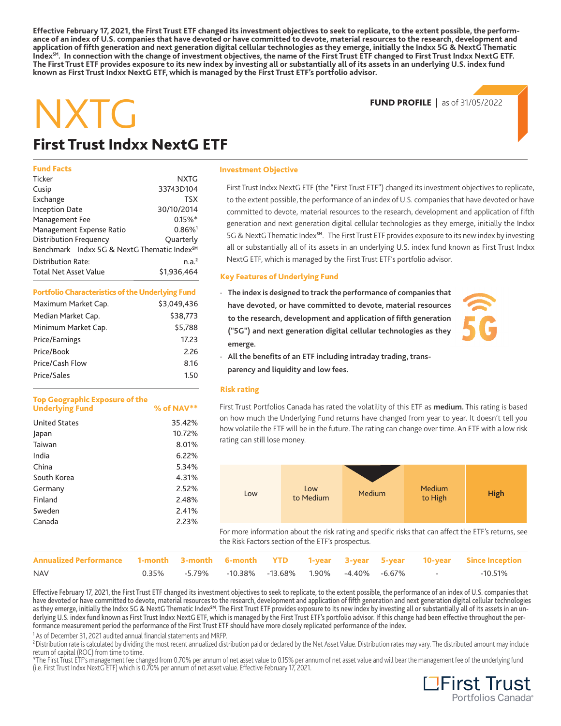**Effective February 17, 2021, the First Trust ETF changed its investment objectives to seek to replicate, to the extent possible, the performance of an index of U.S. companies that have devoted or have committed to devote, material resources to the research, development and application of fifth generation and next generation digital cellular technologies as they emerge, initially the Indxx 5G & NextG Thematic**  Index<sup>5M</sup>. In connection with the change of investment objectives, the name of the First Trust ETF changed to First Trust Indxx NextG ETF. **The First Trust ETF provides exposure to its new index by investing all or substantially all of its assets in an underlying U.S. index fund known as First Trust Indxx NextG ETF, which is managed by the First Trust ETF's portfolio advisor.** 

#### **FUND PROFILE** | as of 31/05/2022

# NXTG

## **First Trust Indxx NextG ETF**

#### **Fund Facts**

| Ticker                                                  | <b>NXTG</b>           |
|---------------------------------------------------------|-----------------------|
| Cusip                                                   | 33743D104             |
| Exchange                                                | <b>TSX</b>            |
| <b>Inception Date</b>                                   | 30/10/2014            |
| Management Fee                                          | $0.15\%$ *            |
| Management Expense Ratio                                | $0.86\%$ <sup>1</sup> |
| <b>Distribution Frequency</b>                           | Ouarterly             |
| Benchmark Indxx 5G & NextG Thematic Index <sup>5M</sup> |                       |
| <b>Distribution Rate:</b>                               | n.a. <sup>2</sup>     |
| <b>Total Net Asset Value</b>                            | \$1,936,464           |

#### **Portfolio Characteristics of the Underlying Fund**

| \$3,049,436 |
|-------------|
| \$38,773    |
| \$5,788     |
| 17.23       |
| 2.26        |
| 8.16        |
| 1.50        |
|             |

#### **Top Geographic Exposure of the**  Underlying Fund  $\frac{1}{2}$  % of NAV\*\*

| <b>United States</b> | 35.42% |
|----------------------|--------|
| Japan                | 10.72% |
| Taiwan               | 8.01%  |
| India                | 6.22%  |
| China                | 5.34%  |
| South Korea          | 4.31%  |
| Germany              | 2.52%  |
| Finland              | 2.48%  |
| Sweden               | 2.41%  |
| Canada               | 2.23%  |
|                      |        |

#### **Investment Objective**

First Trust Indxx NextG ETF (the "First Trust ETF") changed its investment objectives to replicate, to the extent possible, the performance of an index of U.S. companies that have devoted or have committed to devote, material resources to the research, development and application of fifth generation and next generation digital cellular technologies as they emerge, initially the Indxx 5G & NextG Thematic Index**SM**. The First Trust ETF provides exposure to its new index by investing all or substantially all of its assets in an underlying U.S. index fund known as First Trust Indxx NextG ETF, which is managed by the First Trust ETF's portfolio advisor.

#### **Key Features of Underlying Fund**

**· The index is designed to track the performance of companies that have devoted, or have committed to devote, material resources to the research, development and application of fifth generation ("5G") and next generation digital cellular technologies as they emerge.** 



**· All the benefits of an ETF including intraday trading, transparency and liquidity and low fees.** 

#### **Risk rating**

First Trust Portfolios Canada has rated the volatility of this ETF as **medium.** This rating is based on how much the Underlying Fund returns have changed from year to year. It doesn't tell you how volatile the ETF will be in the future. The rating can change over time. An ETF with a low risk rating can still lose money.



For more information about the risk rating and specific risks that can affect the ETF's returns, see the Risk Factors section of the ETF's prospectus.

| Annualized Performance 1-month 3-month 6-month YTD 1-year 3-year 5-year 10-year Since Inception |  |  |  |                                                       |         |
|-------------------------------------------------------------------------------------------------|--|--|--|-------------------------------------------------------|---------|
| <b>NAV</b>                                                                                      |  |  |  | $0.35\%$ -5.79% -10.38% -13.68% 1.90% -4.40% -6.67% - | -10.51% |

**Effective February 17, 2021, the First Trust ETF changed its investment objectives to seek to replicate, to the extent possible, the performance of an index of U.S. companies that have devoted or have committed to devote, material resources to the research, development and application of fifth generation and next generation digital cellular technologies as they emerge, initially the Indxx 5G & NextG Thematic IndexSM. The First Trust ETF provides exposure to its new index by investing all or substantially all of its assets in an un**derlying U.S. index fund known as First Trust Indxx NextG ETF, which is managed by the First Trust ETF's portfolio advisor. If this change had been effective throughout the per**formance measurement period the performance of the First Trust ETF should have more closely replicated performance of the index.** 

1 As of December 31, 2021 audited annual financial statements and MRFP.

<sup>2</sup> Distribution rate is calculated by dividing the most recent annualized distribution paid or declared by the Net Asset Value. Distribution rates may vary. The distributed amount may include return of capital (ROC) from time to time.

\*The First Trust ETF's management fee changed from 0.70% per annum of net asset value to 0.15% per annum of net asset value and will bear the management fee of the underlying fund<br>(i.e. First Trust Indxx NextG ETF) which i